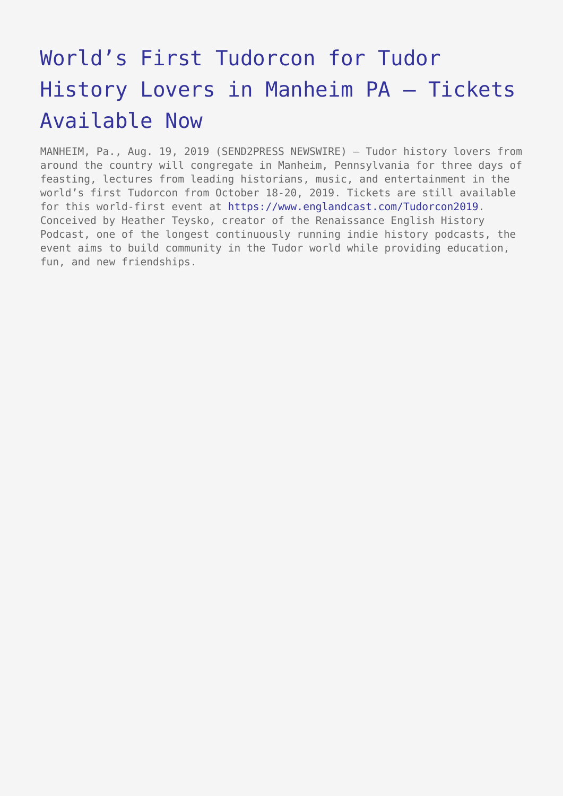## [World's First Tudorcon for Tudor](https://www.send2press.com/wire/worlds-first-tudorcon-for-tudor-history-lovers-in-manheim-pa-tickets-available-now/) [History Lovers in Manheim PA – Tickets](https://www.send2press.com/wire/worlds-first-tudorcon-for-tudor-history-lovers-in-manheim-pa-tickets-available-now/) [Available Now](https://www.send2press.com/wire/worlds-first-tudorcon-for-tudor-history-lovers-in-manheim-pa-tickets-available-now/)

MANHEIM, Pa., Aug. 19, 2019 (SEND2PRESS NEWSWIRE) — Tudor history lovers from around the country will congregate in Manheim, Pennsylvania for three days of feasting, lectures from leading historians, music, and entertainment in the world's first Tudorcon from October 18-20, 2019. Tickets are still available for this world-first event at<https://www.englandcast.com/Tudorcon2019>. Conceived by Heather Teysko, creator of the Renaissance English History Podcast, one of the longest continuously running indie history podcasts, the event aims to build community in the Tudor world while providing education, fun, and new friendships.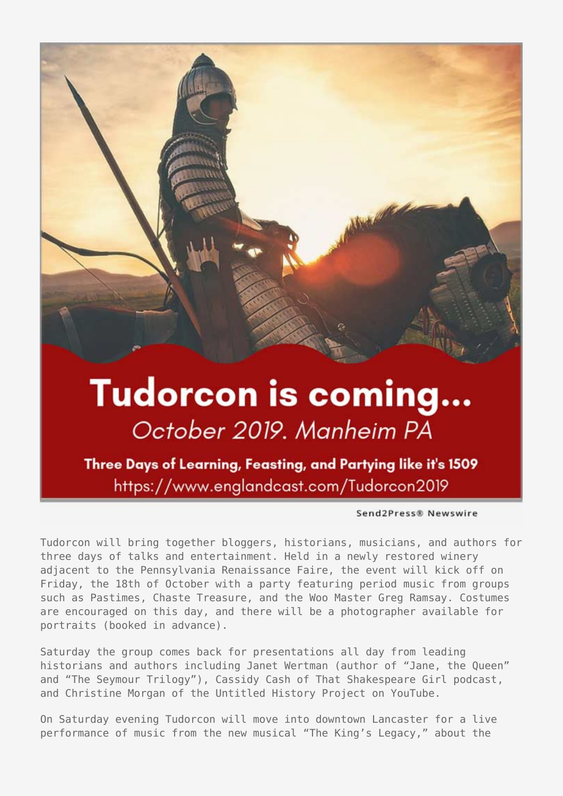

## Tudorcon is coming... October 2019. Manheim PA

Three Days of Learning, Feasting, and Partying like it's 1509 https://www.englandcast.com/Tudorcon2019

Send2Press® Newswire

Tudorcon will bring together bloggers, historians, musicians, and authors for three days of talks and entertainment. Held in a newly restored winery adjacent to the Pennsylvania Renaissance Faire, the event will kick off on Friday, the 18th of October with a party featuring period music from groups such as Pastimes, Chaste Treasure, and the Woo Master Greg Ramsay. Costumes are encouraged on this day, and there will be a photographer available for portraits (booked in advance).

Saturday the group comes back for presentations all day from leading historians and authors including Janet Wertman (author of "Jane, the Queen" and "The Seymour Trilogy"), Cassidy Cash of That Shakespeare Girl podcast, and Christine Morgan of the Untitled History Project on YouTube.

On Saturday evening Tudorcon will move into downtown Lancaster for a live performance of music from the new musical "The King's Legacy," about the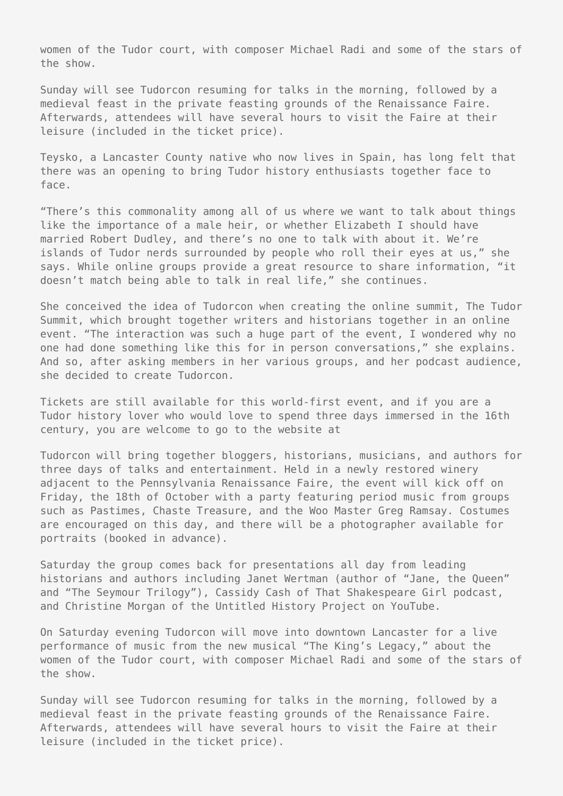women of the Tudor court, with composer Michael Radi and some of the stars of the show.

Sunday will see Tudorcon resuming for talks in the morning, followed by a medieval feast in the private feasting grounds of the Renaissance Faire. Afterwards, attendees will have several hours to visit the Faire at their leisure (included in the ticket price).

Teysko, a Lancaster County native who now lives in Spain, has long felt that there was an opening to bring Tudor history enthusiasts together face to face.

"There's this commonality among all of us where we want to talk about things like the importance of a male heir, or whether Elizabeth I should have married Robert Dudley, and there's no one to talk with about it. We're islands of Tudor nerds surrounded by people who roll their eyes at us," she says. While online groups provide a great resource to share information, "it doesn't match being able to talk in real life," she continues.

She conceived the idea of Tudorcon when creating the online summit, The Tudor Summit, which brought together writers and historians together in an online event. "The interaction was such a huge part of the event, I wondered why no one had done something like this for in person conversations," she explains. And so, after asking members in her various groups, and her podcast audience, she decided to create Tudorcon.

Tickets are still available for this world-first event, and if you are a Tudor history lover who would love to spend three days immersed in the 16th century, you are welcome to go to the website at

Tudorcon will bring together bloggers, historians, musicians, and authors for three days of talks and entertainment. Held in a newly restored winery adjacent to the Pennsylvania Renaissance Faire, the event will kick off on Friday, the 18th of October with a party featuring period music from groups such as Pastimes, Chaste Treasure, and the Woo Master Greg Ramsay. Costumes are encouraged on this day, and there will be a photographer available for portraits (booked in advance).

Saturday the group comes back for presentations all day from leading historians and authors including Janet Wertman (author of "Jane, the Queen" and "The Seymour Trilogy"), Cassidy Cash of That Shakespeare Girl podcast, and Christine Morgan of the Untitled History Project on YouTube.

On Saturday evening Tudorcon will move into downtown Lancaster for a live performance of music from the new musical "The King's Legacy," about the women of the Tudor court, with composer Michael Radi and some of the stars of the show.

Sunday will see Tudorcon resuming for talks in the morning, followed by a medieval feast in the private feasting grounds of the Renaissance Faire. Afterwards, attendees will have several hours to visit the Faire at their leisure (included in the ticket price).